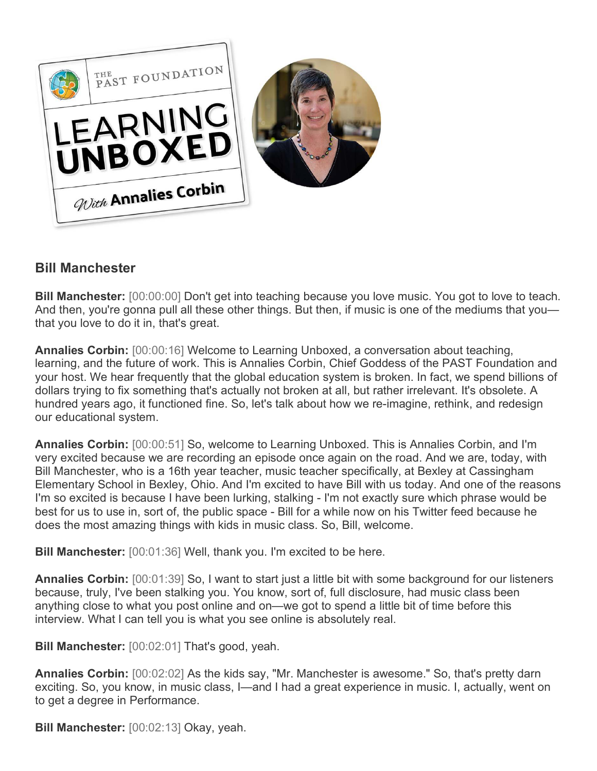

# **Bill Manchester**

**Bill Manchester:** [00:00:00] Don't get into teaching because you love music. You got to love to teach. And then, you're gonna pull all these other things. But then, if music is one of the mediums that you that you love to do it in, that's great.

**Annalies Corbin:** [00:00:16] Welcome to Learning Unboxed, a conversation about teaching, learning, and the future of work. This is Annalies Corbin, Chief Goddess of the PAST Foundation and your host. We hear frequently that the global education system is broken. In fact, we spend billions of dollars trying to fix something that's actually not broken at all, but rather irrelevant. It's obsolete. A hundred years ago, it functioned fine. So, let's talk about how we re-imagine, rethink, and redesign our educational system.

**Annalies Corbin:** [00:00:51] So, welcome to Learning Unboxed. This is Annalies Corbin, and I'm very excited because we are recording an episode once again on the road. And we are, today, with Bill Manchester, who is a 16th year teacher, music teacher specifically, at Bexley at Cassingham Elementary School in Bexley, Ohio. And I'm excited to have Bill with us today. And one of the reasons I'm so excited is because I have been lurking, stalking - I'm not exactly sure which phrase would be best for us to use in, sort of, the public space - Bill for a while now on his Twitter feed because he does the most amazing things with kids in music class. So, Bill, welcome.

**Bill Manchester:** [00:01:36] Well, thank you. I'm excited to be here.

**Annalies Corbin:** [00:01:39] So, I want to start just a little bit with some background for our listeners because, truly, I've been stalking you. You know, sort of, full disclosure, had music class been anything close to what you post online and on—we got to spend a little bit of time before this interview. What I can tell you is what you see online is absolutely real.

**Bill Manchester:** [00:02:01] That's good, yeah.

**Annalies Corbin:** [00:02:02] As the kids say, "Mr. Manchester is awesome." So, that's pretty darn exciting. So, you know, in music class, I—and I had a great experience in music. I, actually, went on to get a degree in Performance.

**Bill Manchester:** [00:02:13] Okay, yeah.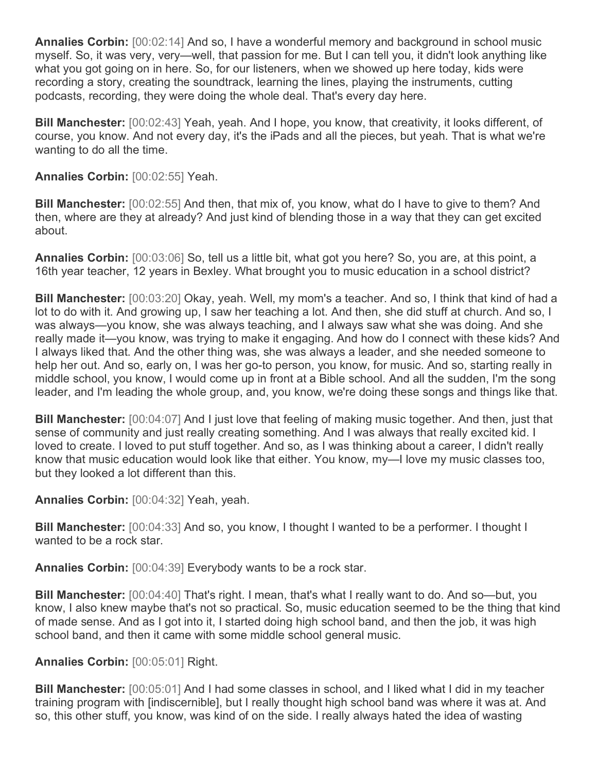**Annalies Corbin:** [00:02:14] And so, I have a wonderful memory and background in school music myself. So, it was very, very—well, that passion for me. But I can tell you, it didn't look anything like what you got going on in here. So, for our listeners, when we showed up here today, kids were recording a story, creating the soundtrack, learning the lines, playing the instruments, cutting podcasts, recording, they were doing the whole deal. That's every day here.

**Bill Manchester:** [00:02:43] Yeah, yeah. And I hope, you know, that creativity, it looks different, of course, you know. And not every day, it's the iPads and all the pieces, but yeah. That is what we're wanting to do all the time.

**Annalies Corbin:** [00:02:55] Yeah.

**Bill Manchester:** [00:02:55] And then, that mix of, you know, what do I have to give to them? And then, where are they at already? And just kind of blending those in a way that they can get excited about.

**Annalies Corbin:** [00:03:06] So, tell us a little bit, what got you here? So, you are, at this point, a 16th year teacher, 12 years in Bexley. What brought you to music education in a school district?

**Bill Manchester:** [00:03:20] Okay, yeah. Well, my mom's a teacher. And so, I think that kind of had a lot to do with it. And growing up, I saw her teaching a lot. And then, she did stuff at church. And so, I was always—you know, she was always teaching, and I always saw what she was doing. And she really made it—you know, was trying to make it engaging. And how do I connect with these kids? And I always liked that. And the other thing was, she was always a leader, and she needed someone to help her out. And so, early on, I was her go-to person, you know, for music. And so, starting really in middle school, you know, I would come up in front at a Bible school. And all the sudden, I'm the song leader, and I'm leading the whole group, and, you know, we're doing these songs and things like that.

**Bill Manchester:** [00:04:07] And I just love that feeling of making music together. And then, just that sense of community and just really creating something. And I was always that really excited kid. I loved to create. I loved to put stuff together. And so, as I was thinking about a career, I didn't really know that music education would look like that either. You know, my—I love my music classes too, but they looked a lot different than this.

**Annalies Corbin:** [00:04:32] Yeah, yeah.

**Bill Manchester:** [00:04:33] And so, you know, I thought I wanted to be a performer. I thought I wanted to be a rock star.

**Annalies Corbin:** [00:04:39] Everybody wants to be a rock star.

**Bill Manchester:** [00:04:40] That's right. I mean, that's what I really want to do. And so—but, you know, I also knew maybe that's not so practical. So, music education seemed to be the thing that kind of made sense. And as I got into it, I started doing high school band, and then the job, it was high school band, and then it came with some middle school general music.

**Annalies Corbin:** [00:05:01] Right.

**Bill Manchester:** [00:05:01] And I had some classes in school, and I liked what I did in my teacher training program with [indiscernible], but I really thought high school band was where it was at. And so, this other stuff, you know, was kind of on the side. I really always hated the idea of wasting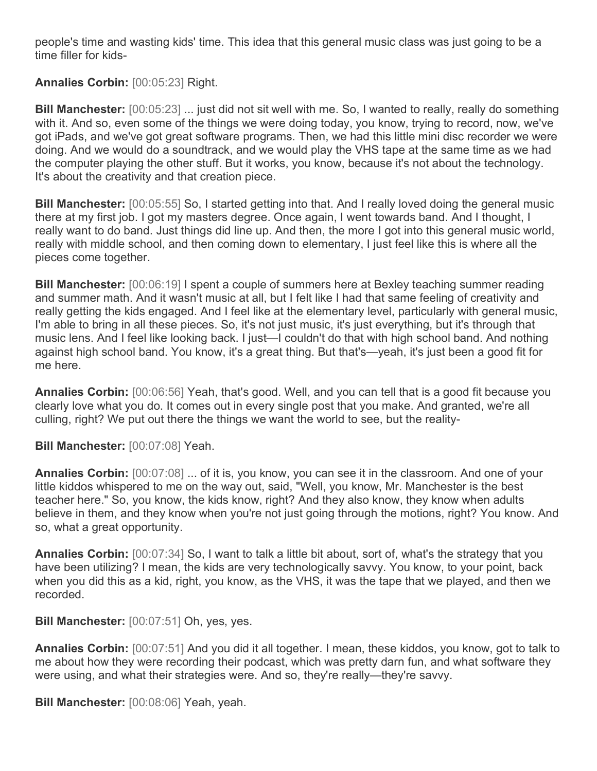people's time and wasting kids' time. This idea that this general music class was just going to be a time filler for kids-

# **Annalies Corbin:** [00:05:23] Right.

**Bill Manchester:** [00:05:23] ... just did not sit well with me. So, I wanted to really, really do something with it. And so, even some of the things we were doing today, you know, trying to record, now, we've got iPads, and we've got great software programs. Then, we had this little mini disc recorder we were doing. And we would do a soundtrack, and we would play the VHS tape at the same time as we had the computer playing the other stuff. But it works, you know, because it's not about the technology. It's about the creativity and that creation piece.

**Bill Manchester:** [00:05:55] So, I started getting into that. And I really loved doing the general music there at my first job. I got my masters degree. Once again, I went towards band. And I thought, I really want to do band. Just things did line up. And then, the more I got into this general music world, really with middle school, and then coming down to elementary, I just feel like this is where all the pieces come together.

**Bill Manchester:** [00:06:19] I spent a couple of summers here at Bexley teaching summer reading and summer math. And it wasn't music at all, but I felt like I had that same feeling of creativity and really getting the kids engaged. And I feel like at the elementary level, particularly with general music, I'm able to bring in all these pieces. So, it's not just music, it's just everything, but it's through that music lens. And I feel like looking back. I just—I couldn't do that with high school band. And nothing against high school band. You know, it's a great thing. But that's—yeah, it's just been a good fit for me here.

**Annalies Corbin:** [00:06:56] Yeah, that's good. Well, and you can tell that is a good fit because you clearly love what you do. It comes out in every single post that you make. And granted, we're all culling, right? We put out there the things we want the world to see, but the reality-

**Bill Manchester:** [00:07:08] Yeah.

**Annalies Corbin:** [00:07:08] ... of it is, you know, you can see it in the classroom. And one of your little kiddos whispered to me on the way out, said, "Well, you know, Mr. Manchester is the best teacher here." So, you know, the kids know, right? And they also know, they know when adults believe in them, and they know when you're not just going through the motions, right? You know. And so, what a great opportunity.

**Annalies Corbin:** [00:07:34] So, I want to talk a little bit about, sort of, what's the strategy that you have been utilizing? I mean, the kids are very technologically savvy. You know, to your point, back when you did this as a kid, right, you know, as the VHS, it was the tape that we played, and then we recorded.

**Bill Manchester:** [00:07:51] Oh, yes, yes.

**Annalies Corbin:** [00:07:51] And you did it all together. I mean, these kiddos, you know, got to talk to me about how they were recording their podcast, which was pretty darn fun, and what software they were using, and what their strategies were. And so, they're really—they're savvy.

**Bill Manchester:** [00:08:06] Yeah, yeah.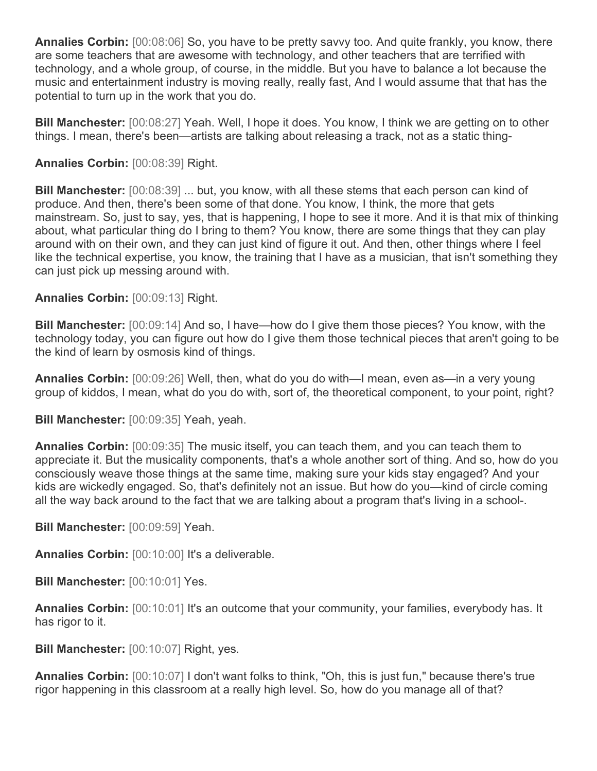**Annalies Corbin:** [00:08:06] So, you have to be pretty savvy too. And quite frankly, you know, there are some teachers that are awesome with technology, and other teachers that are terrified with technology, and a whole group, of course, in the middle. But you have to balance a lot because the music and entertainment industry is moving really, really fast, And I would assume that that has the potential to turn up in the work that you do.

**Bill Manchester:** [00:08:27] Yeah. Well, I hope it does. You know, I think we are getting on to other things. I mean, there's been—artists are talking about releasing a track, not as a static thing-

## **Annalies Corbin:** [00:08:39] Right.

**Bill Manchester:** [00:08:39] ... but, you know, with all these stems that each person can kind of produce. And then, there's been some of that done. You know, I think, the more that gets mainstream. So, just to say, yes, that is happening, I hope to see it more. And it is that mix of thinking about, what particular thing do I bring to them? You know, there are some things that they can play around with on their own, and they can just kind of figure it out. And then, other things where I feel like the technical expertise, you know, the training that I have as a musician, that isn't something they can just pick up messing around with.

## **Annalies Corbin:** [00:09:13] Right.

**Bill Manchester:** [00:09:14] And so, I have—how do I give them those pieces? You know, with the technology today, you can figure out how do I give them those technical pieces that aren't going to be the kind of learn by osmosis kind of things.

**Annalies Corbin:** [00:09:26] Well, then, what do you do with—I mean, even as—in a very young group of kiddos, I mean, what do you do with, sort of, the theoretical component, to your point, right?

**Bill Manchester:** [00:09:35] Yeah, yeah.

**Annalies Corbin:** [00:09:35] The music itself, you can teach them, and you can teach them to appreciate it. But the musicality components, that's a whole another sort of thing. And so, how do you consciously weave those things at the same time, making sure your kids stay engaged? And your kids are wickedly engaged. So, that's definitely not an issue. But how do you—kind of circle coming all the way back around to the fact that we are talking about a program that's living in a school-.

**Bill Manchester:** [00:09:59] Yeah.

**Annalies Corbin:** [00:10:00] It's a deliverable.

**Bill Manchester:** [00:10:01] Yes.

**Annalies Corbin:** [00:10:01] It's an outcome that your community, your families, everybody has. It has rigor to it.

**Bill Manchester:** [00:10:07] Right, yes.

**Annalies Corbin:** [00:10:07] I don't want folks to think, "Oh, this is just fun," because there's true rigor happening in this classroom at a really high level. So, how do you manage all of that?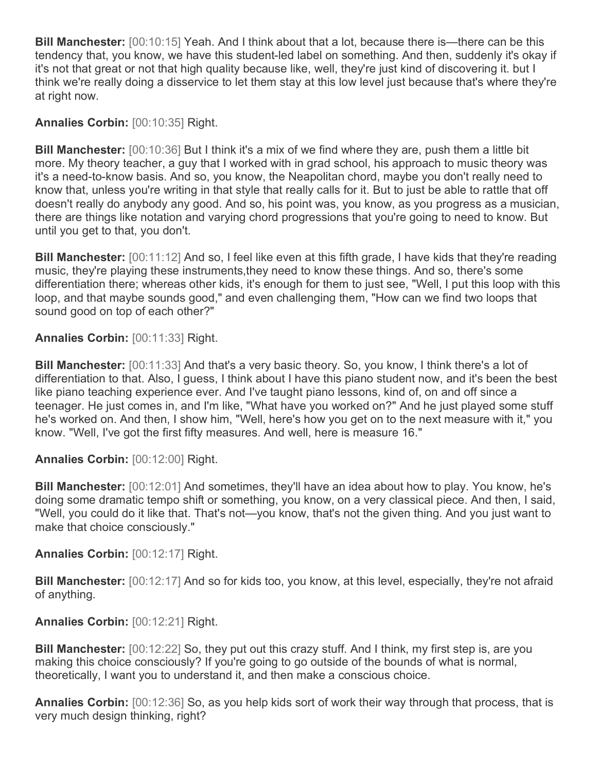**Bill Manchester:** [00:10:15] Yeah. And I think about that a lot, because there is—there can be this tendency that, you know, we have this student-led label on something. And then, suddenly it's okay if it's not that great or not that high quality because like, well, they're just kind of discovering it. but I think we're really doing a disservice to let them stay at this low level just because that's where they're at right now.

## **Annalies Corbin:** [00:10:35] Right.

**Bill Manchester:** [00:10:36] But I think it's a mix of we find where they are, push them a little bit more. My theory teacher, a guy that I worked with in grad school, his approach to music theory was it's a need-to-know basis. And so, you know, the Neapolitan chord, maybe you don't really need to know that, unless you're writing in that style that really calls for it. But to just be able to rattle that off doesn't really do anybody any good. And so, his point was, you know, as you progress as a musician, there are things like notation and varying chord progressions that you're going to need to know. But until you get to that, you don't.

**Bill Manchester:** [00:11:12] And so, I feel like even at this fifth grade, I have kids that they're reading music, they're playing these instruments,they need to know these things. And so, there's some differentiation there; whereas other kids, it's enough for them to just see, "Well, I put this loop with this loop, and that maybe sounds good," and even challenging them, "How can we find two loops that sound good on top of each other?"

## **Annalies Corbin:** [00:11:33] Right.

**Bill Manchester:** [00:11:33] And that's a very basic theory. So, you know, I think there's a lot of differentiation to that. Also, I guess, I think about I have this piano student now, and it's been the best like piano teaching experience ever. And I've taught piano lessons, kind of, on and off since a teenager. He just comes in, and I'm like, "What have you worked on?" And he just played some stuff he's worked on. And then, I show him, "Well, here's how you get on to the next measure with it," you know. "Well, I've got the first fifty measures. And well, here is measure 16."

#### **Annalies Corbin:** [00:12:00] Right.

**Bill Manchester:** [00:12:01] And sometimes, they'll have an idea about how to play. You know, he's doing some dramatic tempo shift or something, you know, on a very classical piece. And then, I said, "Well, you could do it like that. That's not—you know, that's not the given thing. And you just want to make that choice consciously."

#### **Annalies Corbin:** [00:12:17] Right.

**Bill Manchester:** [00:12:17] And so for kids too, you know, at this level, especially, they're not afraid of anything.

#### **Annalies Corbin:** [00:12:21] Right.

**Bill Manchester:** [00:12:22] So, they put out this crazy stuff. And I think, my first step is, are you making this choice consciously? If you're going to go outside of the bounds of what is normal, theoretically, I want you to understand it, and then make a conscious choice.

**Annalies Corbin:** [00:12:36] So, as you help kids sort of work their way through that process, that is very much design thinking, right?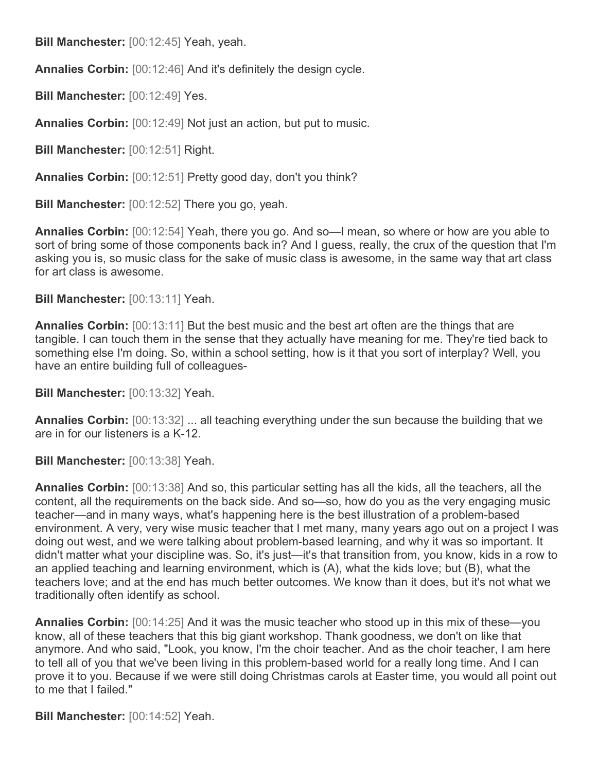**Bill Manchester:** [00:12:45] Yeah, yeah.

**Annalies Corbin:** [00:12:46] And it's definitely the design cycle.

**Bill Manchester:** [00:12:49] Yes.

**Annalies Corbin:** [00:12:49] Not just an action, but put to music.

**Bill Manchester:** [00:12:51] Right.

**Annalies Corbin:** [00:12:51] Pretty good day, don't you think?

**Bill Manchester:** [00:12:52] There you go, yeah.

**Annalies Corbin:** [00:12:54] Yeah, there you go. And so—I mean, so where or how are you able to sort of bring some of those components back in? And I guess, really, the crux of the question that I'm asking you is, so music class for the sake of music class is awesome, in the same way that art class for art class is awesome.

**Bill Manchester:** [00:13:11] Yeah.

**Annalies Corbin:** [00:13:11] But the best music and the best art often are the things that are tangible. I can touch them in the sense that they actually have meaning for me. They're tied back to something else I'm doing. So, within a school setting, how is it that you sort of interplay? Well, you have an entire building full of colleagues-

**Bill Manchester:** [00:13:32] Yeah.

**Annalies Corbin:** [00:13:32] ... all teaching everything under the sun because the building that we are in for our listeners is a K-12.

**Bill Manchester:** [00:13:38] Yeah.

**Annalies Corbin:** [00:13:38] And so, this particular setting has all the kids, all the teachers, all the content, all the requirements on the back side. And so—so, how do you as the very engaging music teacher—and in many ways, what's happening here is the best illustration of a problem-based environment. A very, very wise music teacher that I met many, many years ago out on a project I was doing out west, and we were talking about problem-based learning, and why it was so important. It didn't matter what your discipline was. So, it's just—it's that transition from, you know, kids in a row to an applied teaching and learning environment, which is (A), what the kids love; but (B), what the teachers love; and at the end has much better outcomes. We know than it does, but it's not what we traditionally often identify as school.

**Annalies Corbin:** [00:14:25] And it was the music teacher who stood up in this mix of these—you know, all of these teachers that this big giant workshop. Thank goodness, we don't on like that anymore. And who said, "Look, you know, I'm the choir teacher. And as the choir teacher, I am here to tell all of you that we've been living in this problem-based world for a really long time. And I can prove it to you. Because if we were still doing Christmas carols at Easter time, you would all point out to me that I failed."

**Bill Manchester:** [00:14:52] Yeah.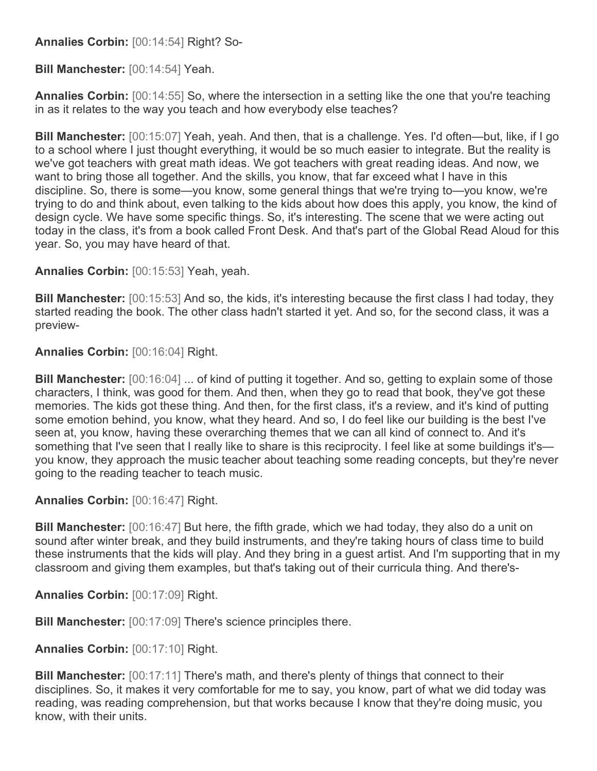## **Annalies Corbin:** [00:14:54] Right? So-

**Bill Manchester:** [00:14:54] Yeah.

**Annalies Corbin:** [00:14:55] So, where the intersection in a setting like the one that you're teaching in as it relates to the way you teach and how everybody else teaches?

**Bill Manchester:** [00:15:07] Yeah, yeah. And then, that is a challenge. Yes. I'd often—but, like, if I go to a school where I just thought everything, it would be so much easier to integrate. But the reality is we've got teachers with great math ideas. We got teachers with great reading ideas. And now, we want to bring those all together. And the skills, you know, that far exceed what I have in this discipline. So, there is some—you know, some general things that we're trying to—you know, we're trying to do and think about, even talking to the kids about how does this apply, you know, the kind of design cycle. We have some specific things. So, it's interesting. The scene that we were acting out today in the class, it's from a book called Front Desk. And that's part of the Global Read Aloud for this year. So, you may have heard of that.

**Annalies Corbin:** [00:15:53] Yeah, yeah.

**Bill Manchester:** [00:15:53] And so, the kids, it's interesting because the first class I had today, they started reading the book. The other class hadn't started it yet. And so, for the second class, it was a preview-

**Annalies Corbin:** [00:16:04] Right.

**Bill Manchester:** [00:16:04] ... of kind of putting it together. And so, getting to explain some of those characters, I think, was good for them. And then, when they go to read that book, they've got these memories. The kids got these thing. And then, for the first class, it's a review, and it's kind of putting some emotion behind, you know, what they heard. And so, I do feel like our building is the best I've seen at, you know, having these overarching themes that we can all kind of connect to. And it's something that I've seen that I really like to share is this reciprocity. I feel like at some buildings it's you know, they approach the music teacher about teaching some reading concepts, but they're never going to the reading teacher to teach music.

**Annalies Corbin:** [00:16:47] Right.

**Bill Manchester:** [00:16:47] But here, the fifth grade, which we had today, they also do a unit on sound after winter break, and they build instruments, and they're taking hours of class time to build these instruments that the kids will play. And they bring in a guest artist. And I'm supporting that in my classroom and giving them examples, but that's taking out of their curricula thing. And there's-

**Annalies Corbin:** [00:17:09] Right.

**Bill Manchester:** [00:17:09] There's science principles there.

**Annalies Corbin:** [00:17:10] Right.

**Bill Manchester:** [00:17:11] There's math, and there's plenty of things that connect to their disciplines. So, it makes it very comfortable for me to say, you know, part of what we did today was reading, was reading comprehension, but that works because I know that they're doing music, you know, with their units.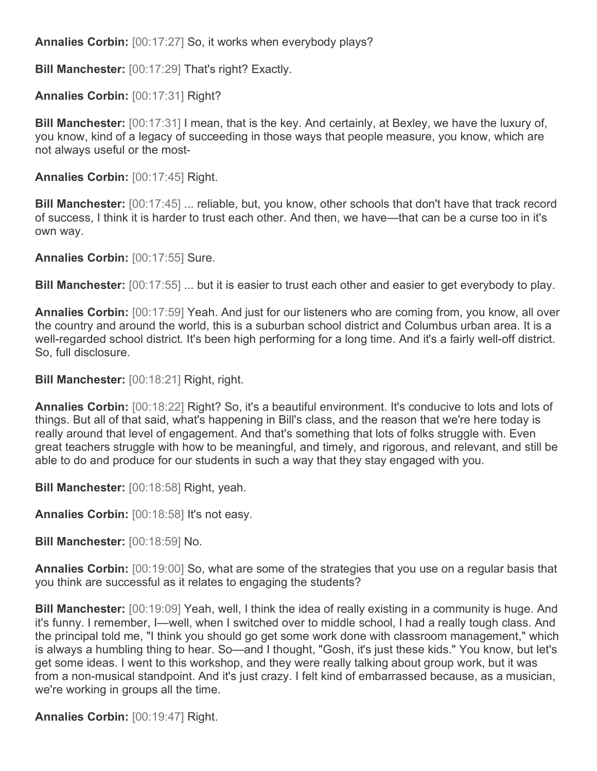**Annalies Corbin:** [00:17:27] So, it works when everybody plays?

**Bill Manchester:** [00:17:29] That's right? Exactly.

**Annalies Corbin:** [00:17:31] Right?

**Bill Manchester:** [00:17:31] I mean, that is the key. And certainly, at Bexley, we have the luxury of, you know, kind of a legacy of succeeding in those ways that people measure, you know, which are not always useful or the most-

**Annalies Corbin:** [00:17:45] Right.

**Bill Manchester:** [00:17:45] ... reliable, but, you know, other schools that don't have that track record of success, I think it is harder to trust each other. And then, we have—that can be a curse too in it's own way.

**Annalies Corbin:** [00:17:55] Sure.

**Bill Manchester:** [00:17:55] ... but it is easier to trust each other and easier to get everybody to play.

**Annalies Corbin:** [00:17:59] Yeah. And just for our listeners who are coming from, you know, all over the country and around the world, this is a suburban school district and Columbus urban area. It is a well-regarded school district. It's been high performing for a long time. And it's a fairly well-off district. So, full disclosure.

**Bill Manchester:** [00:18:21] Right, right.

**Annalies Corbin:** [00:18:22] Right? So, it's a beautiful environment. It's conducive to lots and lots of things. But all of that said, what's happening in Bill's class, and the reason that we're here today is really around that level of engagement. And that's something that lots of folks struggle with. Even great teachers struggle with how to be meaningful, and timely, and rigorous, and relevant, and still be able to do and produce for our students in such a way that they stay engaged with you.

**Bill Manchester:** [00:18:58] Right, yeah.

**Annalies Corbin:** [00:18:58] It's not easy.

**Bill Manchester:** [00:18:59] No.

**Annalies Corbin:** [00:19:00] So, what are some of the strategies that you use on a regular basis that you think are successful as it relates to engaging the students?

**Bill Manchester:** [00:19:09] Yeah, well, I think the idea of really existing in a community is huge. And it's funny. I remember, I—well, when I switched over to middle school, I had a really tough class. And the principal told me, "I think you should go get some work done with classroom management," which is always a humbling thing to hear. So—and I thought, "Gosh, it's just these kids." You know, but let's get some ideas. I went to this workshop, and they were really talking about group work, but it was from a non-musical standpoint. And it's just crazy. I felt kind of embarrassed because, as a musician, we're working in groups all the time.

**Annalies Corbin:** [00:19:47] Right.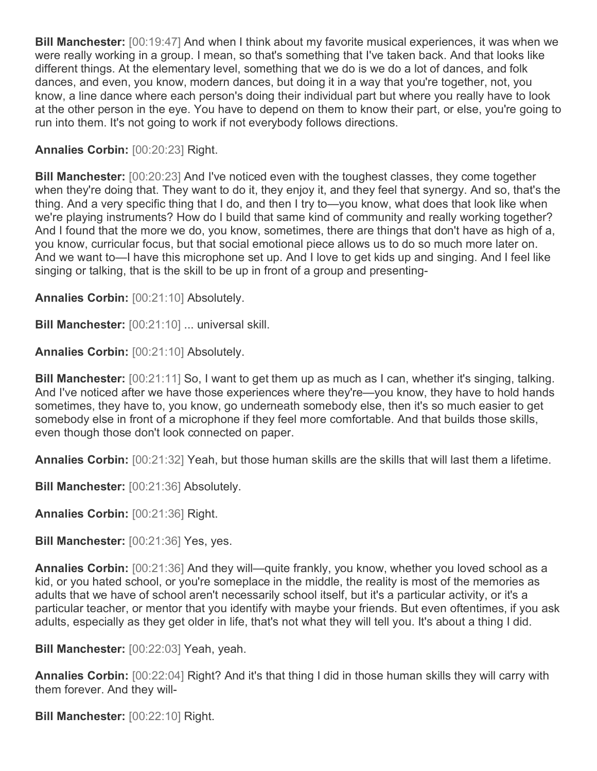**Bill Manchester:** [00:19:47] And when I think about my favorite musical experiences, it was when we were really working in a group. I mean, so that's something that I've taken back. And that looks like different things. At the elementary level, something that we do is we do a lot of dances, and folk dances, and even, you know, modern dances, but doing it in a way that you're together, not, you know, a line dance where each person's doing their individual part but where you really have to look at the other person in the eye. You have to depend on them to know their part, or else, you're going to run into them. It's not going to work if not everybody follows directions.

## **Annalies Corbin:** [00:20:23] Right.

**Bill Manchester:** [00:20:23] And I've noticed even with the toughest classes, they come together when they're doing that. They want to do it, they enjoy it, and they feel that synergy. And so, that's the thing. And a very specific thing that I do, and then I try to—you know, what does that look like when we're playing instruments? How do I build that same kind of community and really working together? And I found that the more we do, you know, sometimes, there are things that don't have as high of a, you know, curricular focus, but that social emotional piece allows us to do so much more later on. And we want to—I have this microphone set up. And I love to get kids up and singing. And I feel like singing or talking, that is the skill to be up in front of a group and presenting-

**Annalies Corbin:** [00:21:10] Absolutely.

**Bill Manchester:** [00:21:10] ... universal skill.

**Annalies Corbin:** [00:21:10] Absolutely.

**Bill Manchester:** [00:21:11] So, I want to get them up as much as I can, whether it's singing, talking. And I've noticed after we have those experiences where they're—you know, they have to hold hands sometimes, they have to, you know, go underneath somebody else, then it's so much easier to get somebody else in front of a microphone if they feel more comfortable. And that builds those skills, even though those don't look connected on paper.

**Annalies Corbin:** [00:21:32] Yeah, but those human skills are the skills that will last them a lifetime.

**Bill Manchester:** [00:21:36] Absolutely.

**Annalies Corbin:** [00:21:36] Right.

**Bill Manchester:** [00:21:36] Yes, yes.

**Annalies Corbin:** [00:21:36] And they will—quite frankly, you know, whether you loved school as a kid, or you hated school, or you're someplace in the middle, the reality is most of the memories as adults that we have of school aren't necessarily school itself, but it's a particular activity, or it's a particular teacher, or mentor that you identify with maybe your friends. But even oftentimes, if you ask adults, especially as they get older in life, that's not what they will tell you. It's about a thing I did.

**Bill Manchester:** [00:22:03] Yeah, yeah.

**Annalies Corbin:** [00:22:04] Right? And it's that thing I did in those human skills they will carry with them forever. And they will-

**Bill Manchester:** [00:22:10] Right.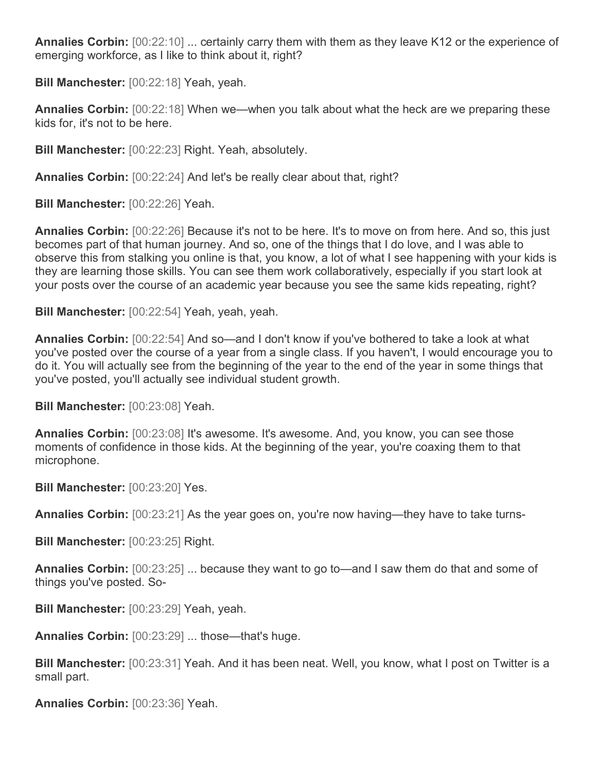**Annalies Corbin:** [00:22:10] ... certainly carry them with them as they leave K12 or the experience of emerging workforce, as I like to think about it, right?

**Bill Manchester:** [00:22:18] Yeah, yeah.

**Annalies Corbin:** [00:22:18] When we—when you talk about what the heck are we preparing these kids for, it's not to be here.

**Bill Manchester:** [00:22:23] Right. Yeah, absolutely.

**Annalies Corbin:** [00:22:24] And let's be really clear about that, right?

**Bill Manchester:** [00:22:26] Yeah.

**Annalies Corbin:** [00:22:26] Because it's not to be here. It's to move on from here. And so, this just becomes part of that human journey. And so, one of the things that I do love, and I was able to observe this from stalking you online is that, you know, a lot of what I see happening with your kids is they are learning those skills. You can see them work collaboratively, especially if you start look at your posts over the course of an academic year because you see the same kids repeating, right?

**Bill Manchester:** [00:22:54] Yeah, yeah, yeah.

**Annalies Corbin:** [00:22:54] And so—and I don't know if you've bothered to take a look at what you've posted over the course of a year from a single class. If you haven't, I would encourage you to do it. You will actually see from the beginning of the year to the end of the year in some things that you've posted, you'll actually see individual student growth.

**Bill Manchester:** [00:23:08] Yeah.

Annalies Corbin:  $[00:23:08]$  It's awesome. It's awesome. And, you know, you can see those moments of confidence in those kids. At the beginning of the year, you're coaxing them to that microphone.

**Bill Manchester:** [00:23:20] Yes.

**Annalies Corbin:** [00:23:21] As the year goes on, you're now having—they have to take turns-

**Bill Manchester:** [00:23:25] Right.

**Annalies Corbin:** [00:23:25] ... because they want to go to—and I saw them do that and some of things you've posted. So-

**Bill Manchester:** [00:23:29] Yeah, yeah.

**Annalies Corbin:** [00:23:29] ... those—that's huge.

**Bill Manchester:** [00:23:31] Yeah. And it has been neat. Well, you know, what I post on Twitter is a small part.

**Annalies Corbin:** [00:23:36] Yeah.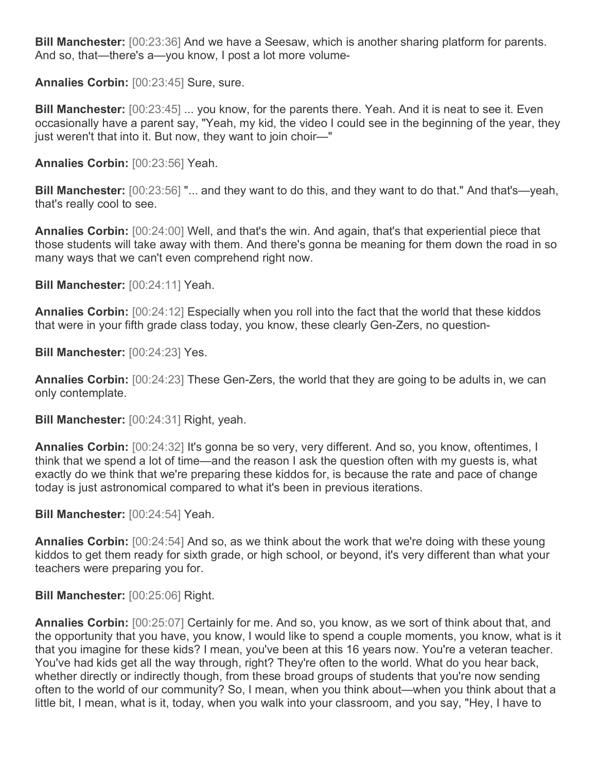**Bill Manchester:** [00:23:36] And we have a Seesaw, which is another sharing platform for parents. And so, that—there's a—you know, I post a lot more volume-

**Annalies Corbin:** [00:23:45] Sure, sure.

**Bill Manchester:** [00:23:45] ... you know, for the parents there. Yeah. And it is neat to see it. Even occasionally have a parent say, "Yeah, my kid, the video I could see in the beginning of the year, they just weren't that into it. But now, they want to join choir—"

**Annalies Corbin:** [00:23:56] Yeah.

**Bill Manchester:** [00:23:56] "... and they want to do this, and they want to do that." And that's—yeah, that's really cool to see.

**Annalies Corbin:** [00:24:00] Well, and that's the win. And again, that's that experiential piece that those students will take away with them. And there's gonna be meaning for them down the road in so many ways that we can't even comprehend right now.

**Bill Manchester:** [00:24:11] Yeah.

**Annalies Corbin:** [00:24:12] Especially when you roll into the fact that the world that these kiddos that were in your fifth grade class today, you know, these clearly Gen-Zers, no question-

**Bill Manchester:** [00:24:23] Yes.

**Annalies Corbin:** [00:24:23] These Gen-Zers, the world that they are going to be adults in, we can only contemplate.

**Bill Manchester:** [00:24:31] Right, yeah.

**Annalies Corbin:** [00:24:32] It's gonna be so very, very different. And so, you know, oftentimes, I think that we spend a lot of time—and the reason I ask the question often with my guests is, what exactly do we think that we're preparing these kiddos for, is because the rate and pace of change today is just astronomical compared to what it's been in previous iterations.

**Bill Manchester:** [00:24:54] Yeah.

**Annalies Corbin:** [00:24:54] And so, as we think about the work that we're doing with these young kiddos to get them ready for sixth grade, or high school, or beyond, it's very different than what your teachers were preparing you for.

**Bill Manchester:** [00:25:06] Right.

**Annalies Corbin:** [00:25:07] Certainly for me. And so, you know, as we sort of think about that, and the opportunity that you have, you know, I would like to spend a couple moments, you know, what is it that you imagine for these kids? I mean, you've been at this 16 years now. You're a veteran teacher. You've had kids get all the way through, right? They're often to the world. What do you hear back, whether directly or indirectly though, from these broad groups of students that you're now sending often to the world of our community? So, I mean, when you think about—when you think about that a little bit, I mean, what is it, today, when you walk into your classroom, and you say, "Hey, I have to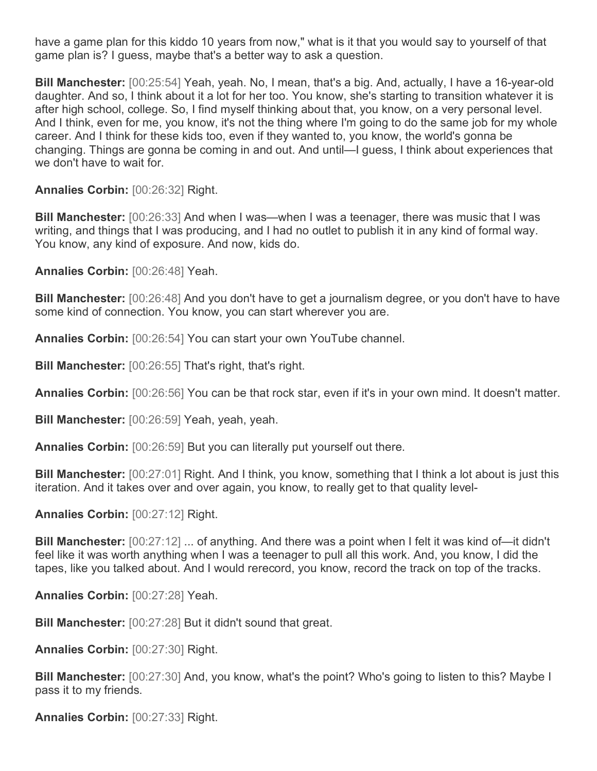have a game plan for this kiddo 10 years from now," what is it that you would say to yourself of that game plan is? I guess, maybe that's a better way to ask a question.

**Bill Manchester:** [00:25:54] Yeah, yeah. No, I mean, that's a big. And, actually, I have a 16-year-old daughter. And so, I think about it a lot for her too. You know, she's starting to transition whatever it is after high school, college. So, I find myself thinking about that, you know, on a very personal level. And I think, even for me, you know, it's not the thing where I'm going to do the same job for my whole career. And I think for these kids too, even if they wanted to, you know, the world's gonna be changing. Things are gonna be coming in and out. And until—I guess, I think about experiences that we don't have to wait for.

**Annalies Corbin:** [00:26:32] Right.

**Bill Manchester:** [00:26:33] And when I was—when I was a teenager, there was music that I was writing, and things that I was producing, and I had no outlet to publish it in any kind of formal way. You know, any kind of exposure. And now, kids do.

**Annalies Corbin:** [00:26:48] Yeah.

**Bill Manchester:** [00:26:48] And you don't have to get a journalism degree, or you don't have to have some kind of connection. You know, you can start wherever you are.

**Annalies Corbin:** [00:26:54] You can start your own YouTube channel.

**Bill Manchester:** [00:26:55] That's right, that's right.

**Annalies Corbin:** [00:26:56] You can be that rock star, even if it's in your own mind. It doesn't matter.

**Bill Manchester:** [00:26:59] Yeah, yeah, yeah.

**Annalies Corbin:** [00:26:59] But you can literally put yourself out there.

**Bill Manchester:** [00:27:01] Right. And I think, you know, something that I think a lot about is just this iteration. And it takes over and over again, you know, to really get to that quality level-

**Annalies Corbin:** [00:27:12] Right.

**Bill Manchester:** [00:27:12] ... of anything. And there was a point when I felt it was kind of—it didn't feel like it was worth anything when I was a teenager to pull all this work. And, you know, I did the tapes, like you talked about. And I would rerecord, you know, record the track on top of the tracks.

**Annalies Corbin:** [00:27:28] Yeah.

**Bill Manchester:** [00:27:28] But it didn't sound that great.

**Annalies Corbin:** [00:27:30] Right.

**Bill Manchester:** [00:27:30] And, you know, what's the point? Who's going to listen to this? Maybe I pass it to my friends.

**Annalies Corbin:** [00:27:33] Right.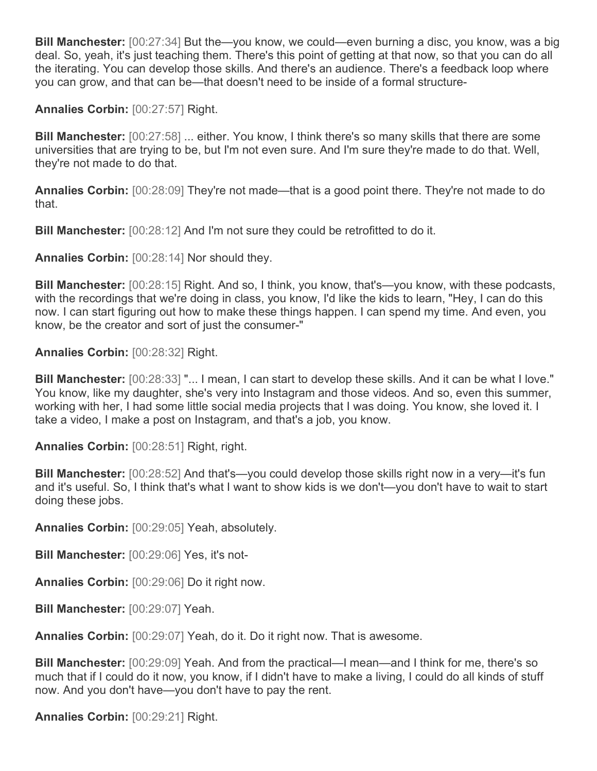**Bill Manchester:** [00:27:34] But the—you know, we could—even burning a disc, you know, was a big deal. So, yeah, it's just teaching them. There's this point of getting at that now, so that you can do all the iterating. You can develop those skills. And there's an audience. There's a feedback loop where you can grow, and that can be—that doesn't need to be inside of a formal structure-

**Annalies Corbin:** [00:27:57] Right.

**Bill Manchester:** [00:27:58] ... either. You know, I think there's so many skills that there are some universities that are trying to be, but I'm not even sure. And I'm sure they're made to do that. Well, they're not made to do that.

**Annalies Corbin:** [00:28:09] They're not made—that is a good point there. They're not made to do that.

**Bill Manchester:** [00:28:12] And I'm not sure they could be retrofitted to do it.

**Annalies Corbin:** [00:28:14] Nor should they.

**Bill Manchester:** [00:28:15] Right. And so, I think, you know, that's—you know, with these podcasts, with the recordings that we're doing in class, you know, I'd like the kids to learn, "Hey, I can do this now. I can start figuring out how to make these things happen. I can spend my time. And even, you know, be the creator and sort of just the consumer-"

**Annalies Corbin:** [00:28:32] Right.

**Bill Manchester:** [00:28:33] "... I mean, I can start to develop these skills. And it can be what I love." You know, like my daughter, she's very into Instagram and those videos. And so, even this summer, working with her, I had some little social media projects that I was doing. You know, she loved it. I take a video, I make a post on Instagram, and that's a job, you know.

**Annalies Corbin:** [00:28:51] Right, right.

**Bill Manchester:** [00:28:52] And that's—you could develop those skills right now in a very—it's fun and it's useful. So, I think that's what I want to show kids is we don't—you don't have to wait to start doing these jobs.

**Annalies Corbin:** [00:29:05] Yeah, absolutely.

**Bill Manchester:** [00:29:06] Yes, it's not-

**Annalies Corbin:** [00:29:06] Do it right now.

**Bill Manchester:** [00:29:07] Yeah.

**Annalies Corbin:** [00:29:07] Yeah, do it. Do it right now. That is awesome.

**Bill Manchester:** [00:29:09] Yeah. And from the practical—I mean—and I think for me, there's so much that if I could do it now, you know, if I didn't have to make a living, I could do all kinds of stuff now. And you don't have—you don't have to pay the rent.

**Annalies Corbin:** [00:29:21] Right.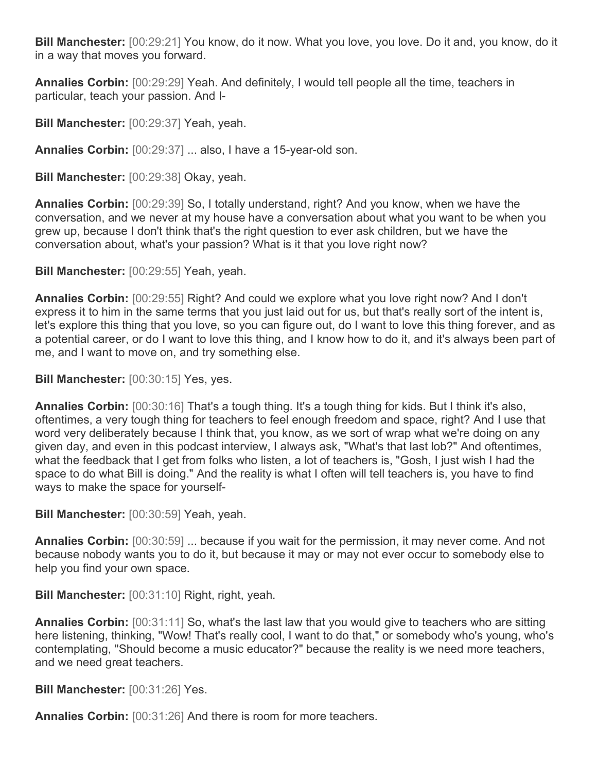**Bill Manchester:** [00:29:21] You know, do it now. What you love, you love. Do it and, you know, do it in a way that moves you forward.

**Annalies Corbin:** [00:29:29] Yeah. And definitely, I would tell people all the time, teachers in particular, teach your passion. And I-

**Bill Manchester:** [00:29:37] Yeah, yeah.

**Annalies Corbin:** [00:29:37] ... also, I have a 15-year-old son.

**Bill Manchester:** [00:29:38] Okay, yeah.

**Annalies Corbin:** [00:29:39] So, I totally understand, right? And you know, when we have the conversation, and we never at my house have a conversation about what you want to be when you grew up, because I don't think that's the right question to ever ask children, but we have the conversation about, what's your passion? What is it that you love right now?

**Bill Manchester:** [00:29:55] Yeah, yeah.

**Annalies Corbin:** [00:29:55] Right? And could we explore what you love right now? And I don't express it to him in the same terms that you just laid out for us, but that's really sort of the intent is, let's explore this thing that you love, so you can figure out, do I want to love this thing forever, and as a potential career, or do I want to love this thing, and I know how to do it, and it's always been part of me, and I want to move on, and try something else.

**Bill Manchester:** [00:30:15] Yes, yes.

**Annalies Corbin:** [00:30:16] That's a tough thing. It's a tough thing for kids. But I think it's also, oftentimes, a very tough thing for teachers to feel enough freedom and space, right? And I use that word very deliberately because I think that, you know, as we sort of wrap what we're doing on any given day, and even in this podcast interview, I always ask, "What's that last lob?" And oftentimes, what the feedback that I get from folks who listen, a lot of teachers is, "Gosh, I just wish I had the space to do what Bill is doing." And the reality is what I often will tell teachers is, you have to find ways to make the space for yourself-

**Bill Manchester:** [00:30:59] Yeah, yeah.

**Annalies Corbin:** [00:30:59] ... because if you wait for the permission, it may never come. And not because nobody wants you to do it, but because it may or may not ever occur to somebody else to help you find your own space.

**Bill Manchester:** [00:31:10] Right, right, yeah.

**Annalies Corbin:** [00:31:11] So, what's the last law that you would give to teachers who are sitting here listening, thinking, "Wow! That's really cool, I want to do that," or somebody who's young, who's contemplating, "Should become a music educator?" because the reality is we need more teachers, and we need great teachers.

**Bill Manchester:** [00:31:26] Yes.

**Annalies Corbin:** [00:31:26] And there is room for more teachers.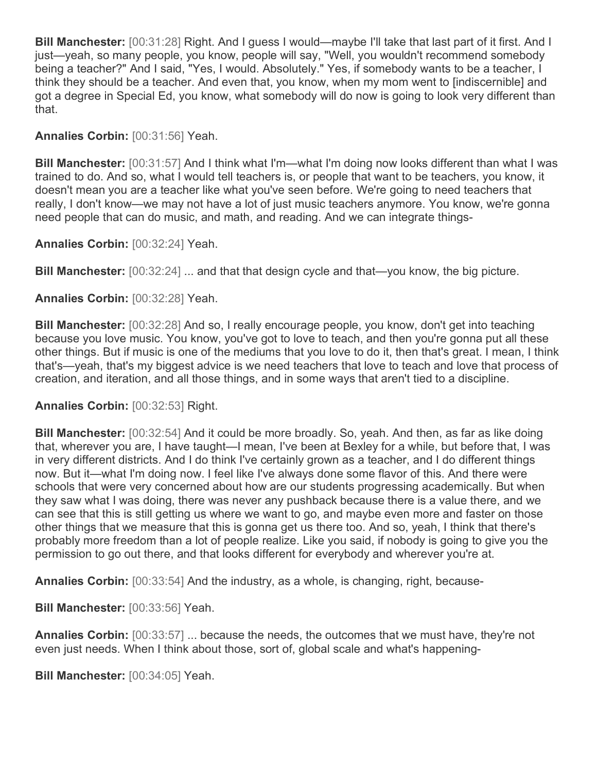**Bill Manchester:** [00:31:28] Right. And I guess I would—maybe I'll take that last part of it first. And I just—yeah, so many people, you know, people will say, "Well, you wouldn't recommend somebody being a teacher?" And I said, "Yes, I would. Absolutely." Yes, if somebody wants to be a teacher, I think they should be a teacher. And even that, you know, when my mom went to [indiscernible] and got a degree in Special Ed, you know, what somebody will do now is going to look very different than that.

**Annalies Corbin:** [00:31:56] Yeah.

**Bill Manchester:** [00:31:57] And I think what I'm—what I'm doing now looks different than what I was trained to do. And so, what I would tell teachers is, or people that want to be teachers, you know, it doesn't mean you are a teacher like what you've seen before. We're going to need teachers that really, I don't know—we may not have a lot of just music teachers anymore. You know, we're gonna need people that can do music, and math, and reading. And we can integrate things-

**Annalies Corbin:** [00:32:24] Yeah.

**Bill Manchester:** [00:32:24] ... and that that design cycle and that—you know, the big picture.

**Annalies Corbin:** [00:32:28] Yeah.

**Bill Manchester:** [00:32:28] And so, I really encourage people, you know, don't get into teaching because you love music. You know, you've got to love to teach, and then you're gonna put all these other things. But if music is one of the mediums that you love to do it, then that's great. I mean, I think that's—yeah, that's my biggest advice is we need teachers that love to teach and love that process of creation, and iteration, and all those things, and in some ways that aren't tied to a discipline.

**Annalies Corbin:** [00:32:53] Right.

**Bill Manchester:** [00:32:54] And it could be more broadly. So, yeah. And then, as far as like doing that, wherever you are, I have taught—I mean, I've been at Bexley for a while, but before that, I was in very different districts. And I do think I've certainly grown as a teacher, and I do different things now. But it—what I'm doing now. I feel like I've always done some flavor of this. And there were schools that were very concerned about how are our students progressing academically. But when they saw what I was doing, there was never any pushback because there is a value there, and we can see that this is still getting us where we want to go, and maybe even more and faster on those other things that we measure that this is gonna get us there too. And so, yeah, I think that there's probably more freedom than a lot of people realize. Like you said, if nobody is going to give you the permission to go out there, and that looks different for everybody and wherever you're at.

**Annalies Corbin:** [00:33:54] And the industry, as a whole, is changing, right, because-

**Bill Manchester:** [00:33:56] Yeah.

**Annalies Corbin:** [00:33:57] ... because the needs, the outcomes that we must have, they're not even just needs. When I think about those, sort of, global scale and what's happening-

**Bill Manchester:** [00:34:05] Yeah.